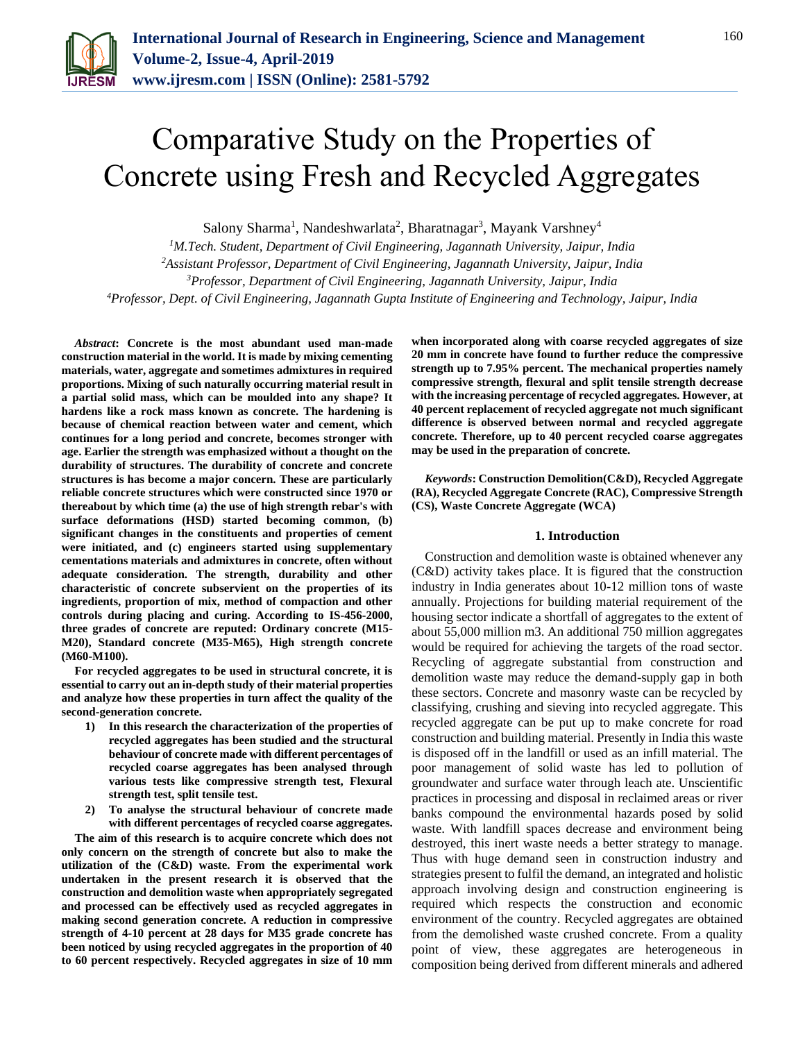

# Comparative Study on the Properties of Concrete using Fresh and Recycled Aggregates

Salony Sharma<sup>1</sup>, Nandeshwarlata<sup>2</sup>, Bharatnagar<sup>3</sup>, Mayank Varshney<sup>4</sup>

*M.Tech. Student, Department of Civil Engineering, Jagannath University, Jaipur, India Assistant Professor, Department of Civil Engineering, Jagannath University, Jaipur, India Professor, Department of Civil Engineering, Jagannath University, Jaipur, India Professor, Dept. of Civil Engineering, Jagannath Gupta Institute of Engineering and Technology, Jaipur, India*

*Abstract***: Concrete is the most abundant used man-made construction material in the world. It is made by mixing cementing materials, water, aggregate and sometimes admixtures in required proportions. Mixing of such naturally occurring material result in a partial solid mass, which can be moulded into any shape? It hardens like a rock mass known as concrete. The hardening is because of chemical reaction between water and cement, which continues for a long period and concrete, becomes stronger with age. Earlier the strength was emphasized without a thought on the durability of structures. The durability of concrete and concrete structures is has become a major concern. These are particularly reliable concrete structures which were constructed since 1970 or thereabout by which time (a) the use of high strength rebar's with surface deformations (HSD) started becoming common, (b) significant changes in the constituents and properties of cement were initiated, and (c) engineers started using supplementary cementations materials and admixtures in concrete, often without adequate consideration. The strength, durability and other characteristic of concrete subservient on the properties of its ingredients, proportion of mix, method of compaction and other controls during placing and curing. According to IS-456-2000, three grades of concrete are reputed: Ordinary concrete (M15- M20), Standard concrete (M35-M65), High strength concrete (M60-M100).** 

**For recycled aggregates to be used in structural concrete, it is essential to carry out an in-depth study of their material properties and analyze how these properties in turn affect the quality of the second-generation concrete.**

- **1) In this research the characterization of the properties of recycled aggregates has been studied and the structural behaviour of concrete made with different percentages of recycled coarse aggregates has been analysed through various tests like compressive strength test, Flexural strength test, split tensile test.**
- **2) To analyse the structural behaviour of concrete made with different percentages of recycled coarse aggregates.**

**The aim of this research is to acquire concrete which does not only concern on the strength of concrete but also to make the utilization of the (C&D) waste. From the experimental work undertaken in the present research it is observed that the construction and demolition waste when appropriately segregated and processed can be effectively used as recycled aggregates in making second generation concrete. A reduction in compressive strength of 4-10 percent at 28 days for M35 grade concrete has been noticed by using recycled aggregates in the proportion of 40 to 60 percent respectively. Recycled aggregates in size of 10 mm** 

**when incorporated along with coarse recycled aggregates of size 20 mm in concrete have found to further reduce the compressive strength up to 7.95% percent. The mechanical properties namely compressive strength, flexural and split tensile strength decrease with the increasing percentage of recycled aggregates. However, at 40 percent replacement of recycled aggregate not much significant difference is observed between normal and recycled aggregate concrete. Therefore, up to 40 percent recycled coarse aggregates may be used in the preparation of concrete.**

*Keywords***: Construction Demolition(C&D), Recycled Aggregate (RA), Recycled Aggregate Concrete (RAC), Compressive Strength (CS), Waste Concrete Aggregate (WCA)**

#### **1. Introduction**

Construction and demolition waste is obtained whenever any (C&D) activity takes place. It is figured that the construction industry in India generates about 10-12 million tons of waste annually. Projections for building material requirement of the housing sector indicate a shortfall of aggregates to the extent of about 55,000 million m3. An additional 750 million aggregates would be required for achieving the targets of the road sector. Recycling of aggregate substantial from construction and demolition waste may reduce the demand-supply gap in both these sectors. Concrete and masonry waste can be recycled by classifying, crushing and sieving into recycled aggregate. This recycled aggregate can be put up to make concrete for road construction and building material. Presently in India this waste is disposed off in the landfill or used as an infill material. The poor management of solid waste has led to pollution of groundwater and surface water through leach ate. Unscientific practices in processing and disposal in reclaimed areas or river banks compound the environmental hazards posed by solid waste. With landfill spaces decrease and environment being destroyed, this inert waste needs a better strategy to manage. Thus with huge demand seen in construction industry and strategies present to fulfil the demand, an integrated and holistic approach involving design and construction engineering is required which respects the construction and economic environment of the country. Recycled aggregates are obtained from the demolished waste crushed concrete. From a quality point of view, these aggregates are heterogeneous in composition being derived from different minerals and adhered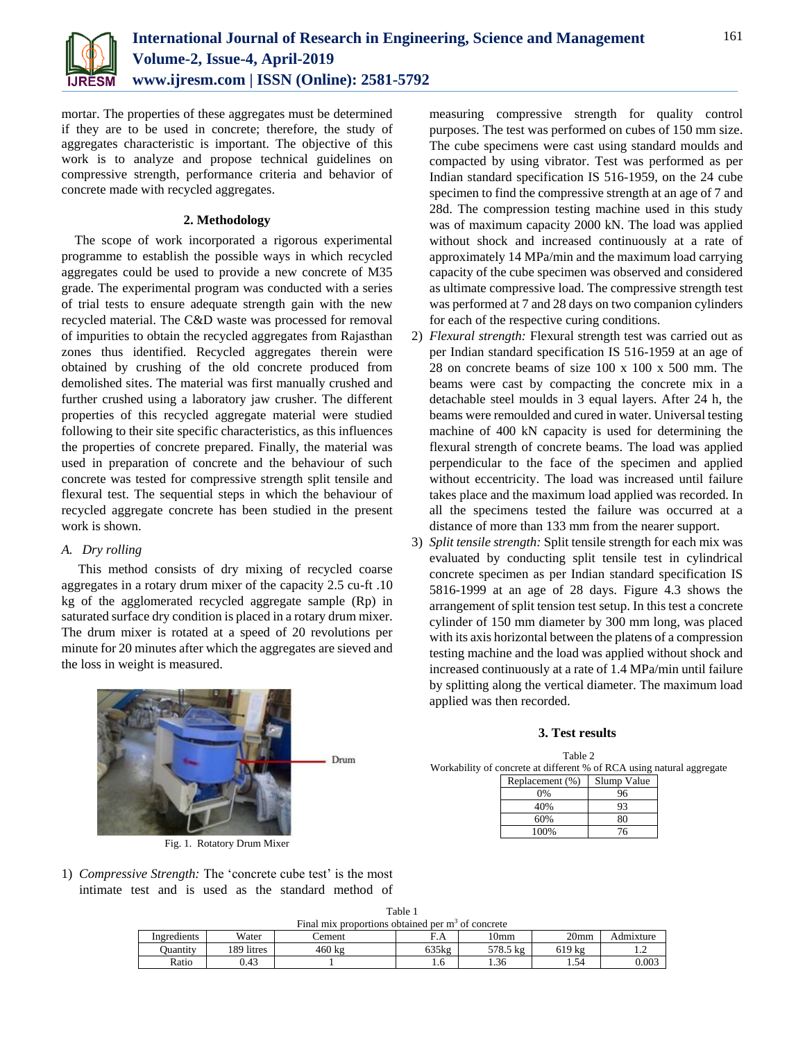

mortar. The properties of these aggregates must be determined if they are to be used in concrete; therefore, the study of aggregates characteristic is important. The objective of this work is to analyze and propose technical guidelines on compressive strength, performance criteria and behavior of concrete made with recycled aggregates.

#### **2. Methodology**

The scope of work incorporated a rigorous experimental programme to establish the possible ways in which recycled aggregates could be used to provide a new concrete of M35 grade. The experimental program was conducted with a series of trial tests to ensure adequate strength gain with the new recycled material. The C&D waste was processed for removal of impurities to obtain the recycled aggregates from Rajasthan zones thus identified. Recycled aggregates therein were obtained by crushing of the old concrete produced from demolished sites. The material was first manually crushed and further crushed using a laboratory jaw crusher. The different properties of this recycled aggregate material were studied following to their site specific characteristics, as this influences the properties of concrete prepared. Finally, the material was used in preparation of concrete and the behaviour of such concrete was tested for compressive strength split tensile and flexural test. The sequential steps in which the behaviour of recycled aggregate concrete has been studied in the present work is shown.

#### *A. Dry rolling*

This method consists of dry mixing of recycled coarse aggregates in a rotary drum mixer of the capacity 2.5 cu-ft .10 kg of the agglomerated recycled aggregate sample (Rp) in saturated surface dry condition is placed in a rotary drum mixer. The drum mixer is rotated at a speed of 20 revolutions per minute for 20 minutes after which the aggregates are sieved and the loss in weight is measured.

measuring compressive strength for quality control purposes. The test was performed on cubes of 150 mm size. The cube specimens were cast using standard moulds and compacted by using vibrator. Test was performed as per Indian standard specification IS 516-1959, on the 24 cube specimen to find the compressive strength at an age of 7 and 28d. The compression testing machine used in this study was of maximum capacity 2000 kN. The load was applied without shock and increased continuously at a rate of approximately 14 MPa/min and the maximum load carrying capacity of the cube specimen was observed and considered as ultimate compressive load. The compressive strength test was performed at 7 and 28 days on two companion cylinders for each of the respective curing conditions.

- 2) *Flexural strength:* Flexural strength test was carried out as per Indian standard specification IS 516-1959 at an age of 28 on concrete beams of size 100 x 100 x 500 mm. The beams were cast by compacting the concrete mix in a detachable steel moulds in 3 equal layers. After 24 h, the beams were remoulded and cured in water. Universal testing machine of 400 kN capacity is used for determining the flexural strength of concrete beams. The load was applied perpendicular to the face of the specimen and applied without eccentricity. The load was increased until failure takes place and the maximum load applied was recorded. In all the specimens tested the failure was occurred at a distance of more than 133 mm from the nearer support.
- 3) *Split tensile strength:* Split tensile strength for each mix was evaluated by conducting split tensile test in cylindrical concrete specimen as per Indian standard specification IS 5816-1999 at an age of 28 days. Figure 4.3 shows the arrangement of split tension test setup. In this test a concrete cylinder of 150 mm diameter by 300 mm long, was placed with its axis horizontal between the platens of a compression testing machine and the load was applied without shock and increased continuously at a rate of 1.4 MPa/min until failure by splitting along the vertical diameter. The maximum load applied was then recorded.

#### **3. Test results**

Table 2 Workability of concrete at different % of RCA using natural aggregate

| Replacement (%) | Slump Value |  |
|-----------------|-------------|--|
| 0%              | 96          |  |
| 40%             | 93          |  |
| 60%             | 80          |  |
| 100%            | 76          |  |



Fig. 1. Rotatory Drum Mixer

1) *Compressive Strength:* The 'concrete cube test' is the most intimate test and is used as the standard method of

| Final mix proportions obtained per $m3$ of concrete |            |        |       |                  |                  |           |  |  |
|-----------------------------------------------------|------------|--------|-------|------------------|------------------|-----------|--|--|
| Ingredients                                         | Water      | `ement | F.A   | $10 \mathrm{mm}$ | 20 <sub>mm</sub> | Admixture |  |  |
| <b>Duantity</b>                                     | 189 litres | 460 kg | 635kg | 578.5 kg         | 619 kg           | .         |  |  |
| Ratio                                               | 0.43       |        | 1.6   | 1.36             | . . 54           | 0.003     |  |  |

Table 1

Drum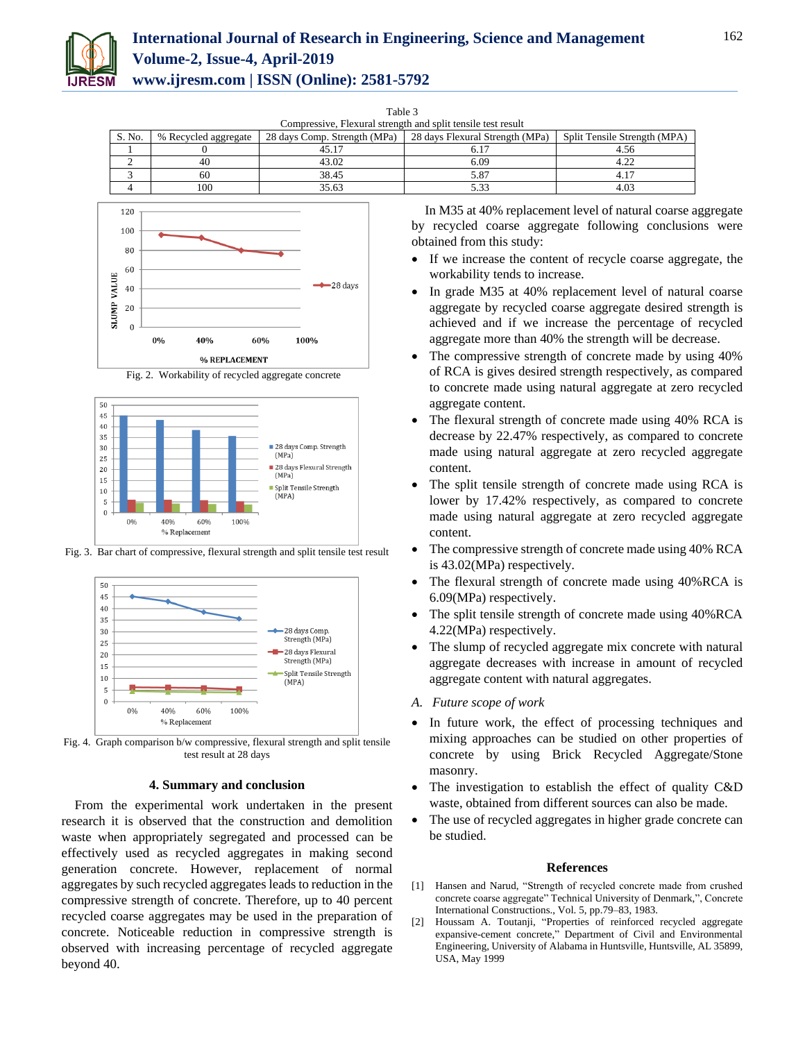

## **International Journal of Research in Engineering, Science and Management Volume-2, Issue-4, April-2019**

**www.ijresm.com | ISSN (Online): 2581-5792** 

Table 3

| Compressive, Flexural strength and split tensile test result |                      |                              |                                 |                              |  |  |
|--------------------------------------------------------------|----------------------|------------------------------|---------------------------------|------------------------------|--|--|
| S. No.                                                       | % Recycled aggregate | 28 days Comp. Strength (MPa) | 28 days Flexural Strength (MPa) | Split Tensile Strength (MPA) |  |  |
|                                                              |                      |                              |                                 | 4.56                         |  |  |
|                                                              | 40                   | 43.02                        | 6.09                            | 4.22                         |  |  |
|                                                              | 60                   | 38.45                        | 5.87                            |                              |  |  |
|                                                              | 100                  | 35.63                        |                                 |                              |  |  |





Fig. 3. Bar chart of compressive, flexural strength and split tensile test result



Fig. 4. Graph comparison b/w compressive, flexural strength and split tensile test result at 28 days

#### **4. Summary and conclusion**

From the experimental work undertaken in the present research it is observed that the construction and demolition waste when appropriately segregated and processed can be effectively used as recycled aggregates in making second generation concrete. However, replacement of normal aggregates by such recycled aggregates leads to reduction in the compressive strength of concrete. Therefore, up to 40 percent recycled coarse aggregates may be used in the preparation of concrete. Noticeable reduction in compressive strength is observed with increasing percentage of recycled aggregate beyond 40.

In M35 at 40% replacement level of natural coarse aggregate by recycled coarse aggregate following conclusions were obtained from this study:

- If we increase the content of recycle coarse aggregate, the workability tends to increase.
- In grade M35 at 40% replacement level of natural coarse aggregate by recycled coarse aggregate desired strength is achieved and if we increase the percentage of recycled aggregate more than 40% the strength will be decrease.
- The compressive strength of concrete made by using 40% of RCA is gives desired strength respectively, as compared to concrete made using natural aggregate at zero recycled aggregate content.
- The flexural strength of concrete made using 40% RCA is decrease by 22.47% respectively, as compared to concrete made using natural aggregate at zero recycled aggregate content.
- The split tensile strength of concrete made using RCA is lower by 17.42% respectively, as compared to concrete made using natural aggregate at zero recycled aggregate content.
- The compressive strength of concrete made using 40% RCA is 43.02(MPa) respectively.
- The flexural strength of concrete made using 40%RCA is 6.09(MPa) respectively.
- The split tensile strength of concrete made using 40%RCA 4.22(MPa) respectively.
- The slump of recycled aggregate mix concrete with natural aggregate decreases with increase in amount of recycled aggregate content with natural aggregates.
- *A. Future scope of work*
- In future work, the effect of processing techniques and mixing approaches can be studied on other properties of concrete by using Brick Recycled Aggregate/Stone masonry.
- The investigation to establish the effect of quality C&D waste, obtained from different sources can also be made.
- The use of recycled aggregates in higher grade concrete can be studied.

#### **References**

- [1] Hansen and Narud, "Strength of recycled concrete made from crushed concrete coarse aggregate" Technical University of Denmark,", Concrete International Constructions., Vol. 5, pp.79–83, 1983.
- [2] Houssam A. Toutanji, "Properties of reinforced recycled aggregate expansive-cement concrete," Department of Civil and Environmental Engineering, University of Alabama in Huntsville, Huntsville, AL 35899, USA, May 1999